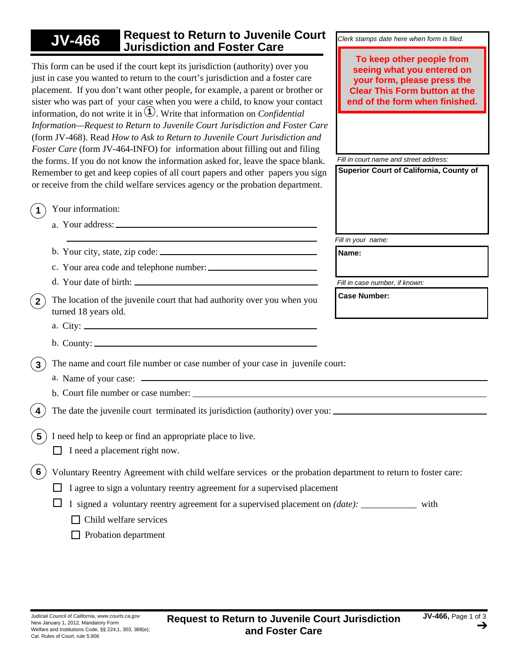## *Fill in your name: Clerk stamps date here when form is filed. Fill in court name and street address:* **Superior Court of California, County of Case Number:** *Fill in case number, if known:* **JV-466 Request to Return to Juvenile Court Jurisdiction and Foster Care 1 1** Your information: This form can be used if the court kept its jurisdiction (authority) over you just in case you wanted to return to the court's jurisdiction and a foster care placement. If you don't want other people, for example, a parent or brother or sister who was part of your case when you were a child, to know your contact information, do not write it in  $\hat{1}$ . Write that information on *Confidential Information—Request to Return to Juvenile Court Jurisdiction and Foster Care*  (form JV-468). Read *How to Ask to Return to Juvenile Court Jurisdiction and Foster Care* (form JV-464-INFO) for information about filling out and filing the forms. If you do not know the information asked for, leave the space blank. Remember to get and keep copies of all court papers and other papers you sign or receive from the child welfare services agency or the probation department. **Name:** Your address: a. c. Your area code and telephone number: b. Your city, state, zip code: **3**) The name and court file number or case number of your case in juvenile court: **2**) The location of the juvenile court that had authority over you when you turned 18 years old. City: a. a. a. Name of your case: b. County: d. Your date of birth: b. Court file number or case number: The date the juvenile court terminated its jurisdiction (authority) over you: **5** I need help to keep or find an appropriate place to live.  $\Box$  Child welfare services **6** Voluntary Reentry Agreement with child welfare services or the probation department to return to foster care:  $\Box$  I agree to sign a voluntary reentry agreement for a supervised placement  $\Box$  I signed a voluntary reentry agreement for a supervised placement on *(date)*: with  $\Box$  Probation department  $\Box$  I need a placement right now. **To keep other people from seeing what you entered on your form, please press the Clear This Form button at the end of the form when finished.**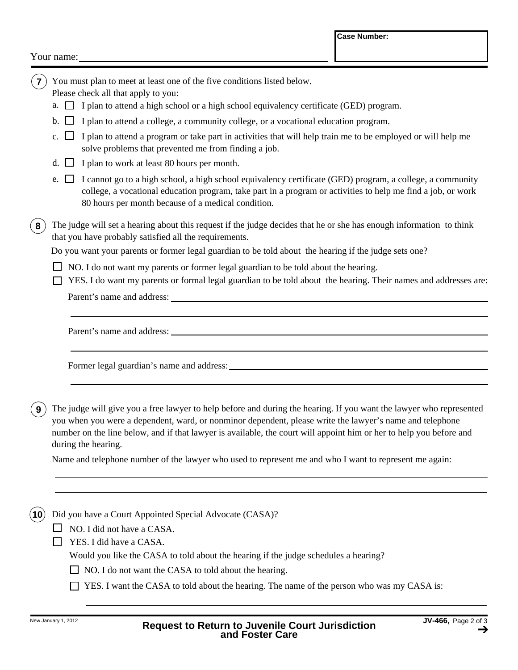## Your name:

| 7) You must plan to meet at least one of the five conditions listed below. |  |
|----------------------------------------------------------------------------|--|
|----------------------------------------------------------------------------|--|

Please check all that apply to you:

- $a.$   $\Box$  I plan to attend a high school or a high school equivalency certificate (GED) program.
- b.  $\Box$  I plan to attend a college, a community college, or a vocational education program.
- c.  $\Box$  I plan to attend a program or take part in activities that will help train me to be employed or will help me solve problems that prevented me from finding a job.
- d.  $\Box$  I plan to work at least 80 hours per month.
- e.  $\Box$  I cannot go to a high school, a high school equivalency certificate (GED) program, a college, a community college, a vocational education program, take part in a program or activities to help me find a job, or work 80 hours per month because of a medical condition.
- **8** The judge will set a hearing about this request if the judge decides that he or she has enough information to think that you have probably satisfied all the requirements.

Do you want your parents or former legal guardian to be told about the hearing if the judge sets one?

- $\Box$  NO. I do not want my parents or former legal guardian to be told about the hearing.
- Parent's name and address:  $\Box$  YES. I do want my parents or formal legal guardian to be told about the hearing. Their names and addresses are:

Parent's name and address:

Former legal guardian's name and address:

**9**) The judge will give you a free lawyer to help before and during the hearing. If you want the lawyer who represented you when you were a dependent, ward, or nonminor dependent, please write the lawyer's name and telephone number on the line below, and if that lawyer is available, the court will appoint him or her to help you before and during the hearing.

Name and telephone number of the lawyer who used to represent me and who I want to represent me again:

**10** Did you have a Court Appointed Special Advocate (CASA)?

 $\Box$  NO. I did not have a CASA.

 $\Box$  YES. I did have a CASA.

Would you like the CASA to told about the hearing if the judge schedules a hearing?

- $\Box$  NO. I do not want the CASA to told about the hearing.
- $\Box$  YES. I want the CASA to told about the hearing. The name of the person who was my CASA is: